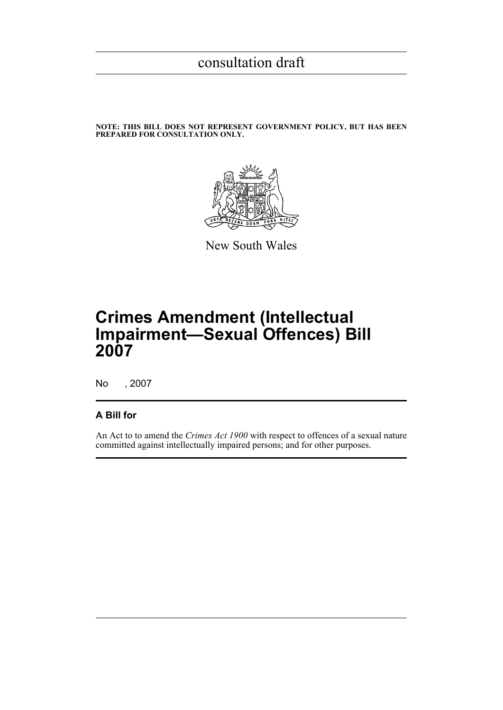### **NOTE: THIS BILL DOES NOT REPRESENT GOVERNMENT POLICY, BUT HAS BEEN PREPARED FOR CONSULTATION ONLY.**



New South Wales

# **Crimes Amendment (Intellectual Impairment—Sexual Offences) Bill 2007**

No , 2007

### **A Bill for**

An Act to to amend the *Crimes Act 1900* with respect to offences of a sexual nature committed against intellectually impaired persons; and for other purposes.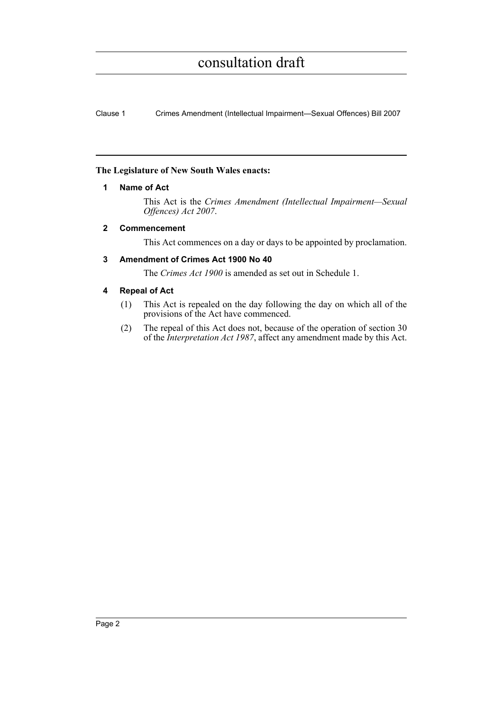Clause 1 Crimes Amendment (Intellectual Impairment—Sexual Offences) Bill 2007

### **The Legislature of New South Wales enacts:**

### **1 Name of Act**

This Act is the *Crimes Amendment (Intellectual Impairment—Sexual Offences) Act 2007*.

### **2 Commencement**

This Act commences on a day or days to be appointed by proclamation.

### **3 Amendment of Crimes Act 1900 No 40**

The *Crimes Act 1900* is amended as set out in Schedule 1.

### **4 Repeal of Act**

- (1) This Act is repealed on the day following the day on which all of the provisions of the Act have commenced.
- (2) The repeal of this Act does not, because of the operation of section 30 of the *Interpretation Act 1987*, affect any amendment made by this Act.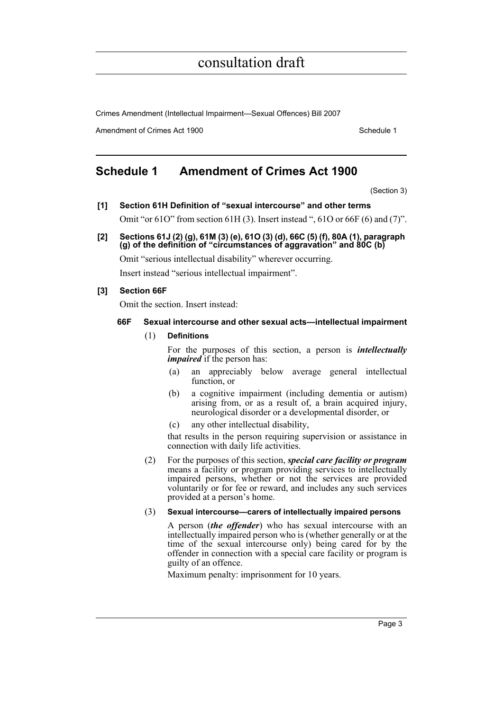Crimes Amendment (Intellectual Impairment—Sexual Offences) Bill 2007

Amendment of Crimes Act 1900 New York 1900 New York 1900 New York 1900

## **Schedule 1 Amendment of Crimes Act 1900**

(Section 3)

**[1] Section 61H Definition of "sexual intercourse" and other terms**

Omit "or 61O" from section 61H (3). Insert instead ", 61O or 66F (6) and (7)".

**[2] Sections 61J (2) (g), 61M (3) (e), 61O (3) (d), 66C (5) (f), 80A (1), paragraph (g) of the definition of "circumstances of aggravation" and 80C (b)**

Omit "serious intellectual disability" wherever occurring.

Insert instead "serious intellectual impairment".

### **[3] Section 66F**

Omit the section. Insert instead:

### **66F Sexual intercourse and other sexual acts—intellectual impairment**

(1) **Definitions**

For the purposes of this section, a person is *intellectually impaired* if the person has:

- (a) an appreciably below average general intellectual function, or
- (b) a cognitive impairment (including dementia or autism) arising from, or as a result of, a brain acquired injury, neurological disorder or a developmental disorder, or
- (c) any other intellectual disability,

that results in the person requiring supervision or assistance in connection with daily life activities.

(2) For the purposes of this section, *special care facility or program* means a facility or program providing services to intellectually impaired persons, whether or not the services are provided voluntarily or for fee or reward, and includes any such services provided at a person's home.

### (3) **Sexual intercourse—carers of intellectually impaired persons**

A person (*the offender*) who has sexual intercourse with an intellectually impaired person who is (whether generally or at the time of the sexual intercourse only) being cared for by the offender in connection with a special care facility or program is guilty of an offence.

Maximum penalty: imprisonment for 10 years.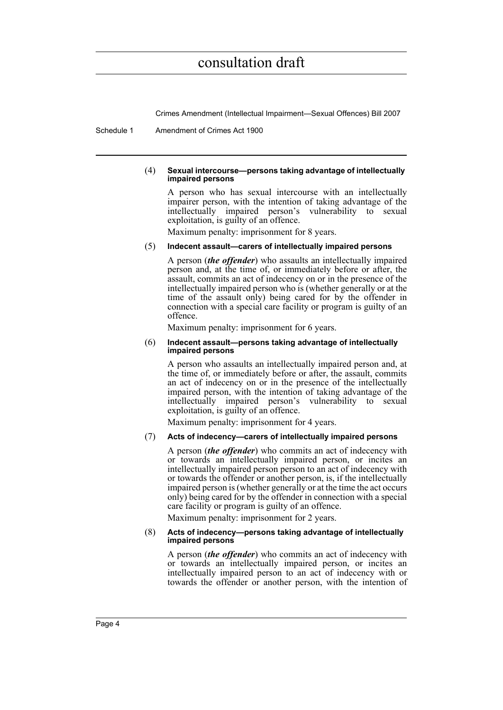Crimes Amendment (Intellectual Impairment—Sexual Offences) Bill 2007

Schedule 1 Amendment of Crimes Act 1900

### (4) **Sexual intercourse—persons taking advantage of intellectually impaired persons**

A person who has sexual intercourse with an intellectually impairer person, with the intention of taking advantage of the intellectually impaired person's vulnerability to sexual exploitation, is guilty of an offence.

Maximum penalty: imprisonment for 8 years.

### (5) **Indecent assault—carers of intellectually impaired persons**

A person (*the offender*) who assaults an intellectually impaired person and, at the time of, or immediately before or after, the assault, commits an act of indecency on or in the presence of the intellectually impaired person who is (whether generally or at the time of the assault only) being cared for by the offender in connection with a special care facility or program is guilty of an offence.

Maximum penalty: imprisonment for 6 years.

#### (6) **Indecent assault—persons taking advantage of intellectually impaired persons**

A person who assaults an intellectually impaired person and, at the time of, or immediately before or after, the assault, commits an act of indecency on or in the presence of the intellectually impaired person, with the intention of taking advantage of the intellectually impaired person's vulnerability to sexual exploitation, is guilty of an offence.

Maximum penalty: imprisonment for 4 years.

### (7) **Acts of indecency—carers of intellectually impaired persons**

A person (*the offender*) who commits an act of indecency with or towards an intellectually impaired person, or incites an intellectually impaired person person to an act of indecency with or towards the offender or another person, is, if the intellectually impaired person is (whether generally or at the time the act occurs only) being cared for by the offender in connection with a special care facility or program is guilty of an offence.

Maximum penalty: imprisonment for 2 years.

#### (8) **Acts of indecency—persons taking advantage of intellectually impaired persons**

A person (*the offender*) who commits an act of indecency with or towards an intellectually impaired person, or incites an intellectually impaired person to an act of indecency with or towards the offender or another person, with the intention of